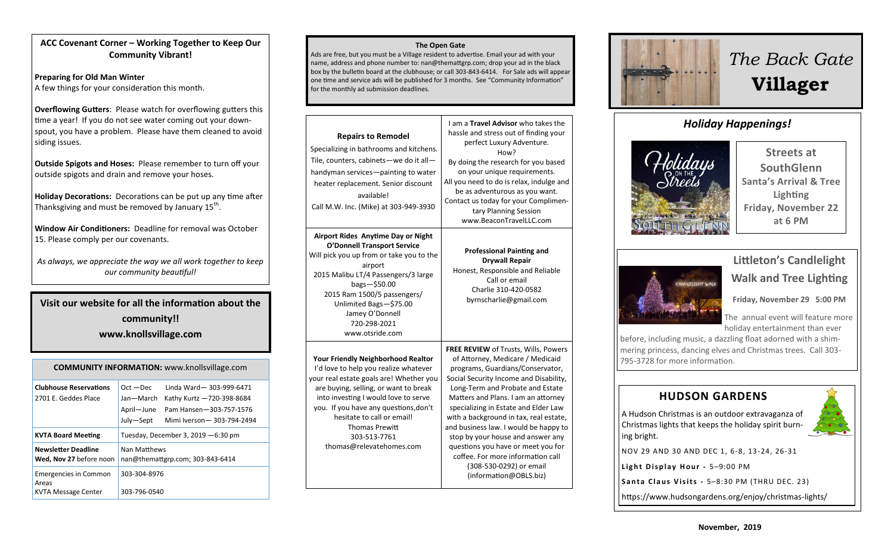#### **ACC Covenant Corner – Working Together to Keep Our Community Vibrant!**

**Preparing for Old Man Winter** A few things for your consideration this month.

**Overflowing Gutters**: Please watch for overflowing gutters this time a year! If you do not see water coming out your downspout, you have a problem. Please have them cleaned to avoid siding issues.

**Outside Spigots and Hoses:** Please remember to turn off your outside spigots and drain and remove your hoses.

**Holiday Decorations:** Decorations can be put up any time after Thanksgiving and must be removed by January 15<sup>th</sup>.

**Window Air Conditioners:** Deadline for removal was October 15. Please comply per our covenants.

*As always, we appreciate the way we all work together to keep our community beautiful!*

**Visit our website for all the information about the community!! www.knollsvillage.com**

| <b>COMMUNITY INFORMATION:</b> www.knollsvillage.com          |                                                                                                                                                                       |  |
|--------------------------------------------------------------|-----------------------------------------------------------------------------------------------------------------------------------------------------------------------|--|
| <b>Clubhouse Reservations</b><br>2701 E. Geddes Place        | Linda Ward-303-999-6471<br>$Oct - Dec$<br>Jan-March<br>Kathy Kurtz -720-398-8684<br>April-June<br>Pam Hansen-303-757-1576<br>July-Sept<br>Mimi Iverson - 303-794-2494 |  |
| <b>KVTA Board Meeting</b>                                    | Tuesday, December 3, 2019 $-6:30$ pm                                                                                                                                  |  |
| <b>Newsletter Deadline</b><br>Wed, Nov 27 before noon        | Nan Matthews<br>nan@themattgrp.com; 303-843-6414                                                                                                                      |  |
| <b>Emergencies in Common</b><br>Areas<br>KVTA Message Center | 303-304-8976<br>303-796-0540                                                                                                                                          |  |

#### **The Open Gate**

Ads are free, but you must be a Village resident to advertise. Email your ad with your name, address and phone number to: nan@themattgrp.com; drop your ad in the black box by the bulletin board at the clubhouse; or call 303-843-6414. For Sale ads will appear one time and service ads will be published for 3 months. See "Community Information" for the monthly ad submission deadlines.

| <b>Repairs to Remodel</b><br>Specializing in bathrooms and kitchens.<br>Tile, counters, cabinets-we do it all-<br>handyman services-painting to water<br>heater replacement. Senior discount<br>available!<br>Call M.W. Inc. (Mike) at 303-949-3930                                                                                                        | I am a Travel Advisor who takes the<br>hassle and stress out of finding your<br>perfect Luxury Adventure.<br>How?<br>By doing the research for you based<br>on your unique requirements.<br>All you need to do is relax, indulge and<br>be as adventurous as you want.<br>Contact us today for your Complimen-<br>tary Planning Session<br>www.BeaconTravelLLC.com                                                                                                                                                                       |
|------------------------------------------------------------------------------------------------------------------------------------------------------------------------------------------------------------------------------------------------------------------------------------------------------------------------------------------------------------|------------------------------------------------------------------------------------------------------------------------------------------------------------------------------------------------------------------------------------------------------------------------------------------------------------------------------------------------------------------------------------------------------------------------------------------------------------------------------------------------------------------------------------------|
| <b>Airport Rides Anytime Day or Night</b><br><b>O'Donnell Transport Service</b><br>Will pick you up from or take you to the<br>airport<br>2015 Malibu LT/4 Passengers/3 large<br>bags-\$50.00<br>2015 Ram 1500/5 passengers/<br>Unlimited Bags-\$75.00<br>Jamey O'Donnell<br>720-298-2021<br>www.otsride.com                                               | <b>Professional Painting and</b><br><b>Drywall Repair</b><br>Honest, Responsible and Reliable<br>Call or email<br>Charlie 310-420-0582<br>byrnscharlie@gmail.com                                                                                                                                                                                                                                                                                                                                                                         |
| <b>Your Friendly Neighborhood Realtor</b><br>I'd love to help you realize whatever<br>your real estate goals are! Whether you<br>are buying, selling, or want to break<br>into investing I would love to serve<br>you. If you have any questions, don't<br>hesitate to call or email!<br><b>Thomas Prewitt</b><br>303-513-7761<br>thomas@relevatehomes.com | <b>FREE REVIEW of Trusts, Wills, Powers</b><br>of Attorney, Medicare / Medicaid<br>programs, Guardians/Conservator,<br>Social Security Income and Disability,<br>Long-Term and Probate and Estate<br>Matters and Plans. I am an attorney<br>specializing in Estate and Elder Law<br>with a background in tax, real estate,<br>and business law. I would be happy to<br>stop by your house and answer any<br>questions you have or meet you for<br>coffee. For more information call<br>(308-530-0292) or email<br>(information@OBLS.biz) |



# *The Back Gate*  **Villager**

# *Holiday Happenings!*



**Streets at SouthGlenn Santa's Arrival & Tree Lighting Friday, November 22 at 6 PM**



# **Littleton's Candlelight Walk and Tree Lighting**

**Friday, November 29 5:00 PM** 

The annual event will feature more holiday entertainment than ever

before, including music, a dazzling float adorned with a shimmering princess, dancing elves and Christmas trees. Call 303- 795-3728 for more information.

## **HUDSON GARDENS**

A Hudson Christmas is an outdoor extravaganza of Christmas lights that keeps the holiday spirit burning bright.

NOV 29 AND 30 AND DEC 1, 6-8, 13-24, 26-31

Light Display Hour - 5-9:00 PM

**Santa Claus Visits - 5-8:30 PM (THRU DEC. 23)** 

https://www.hudsongardens.org/enjoy/christmas-lights/